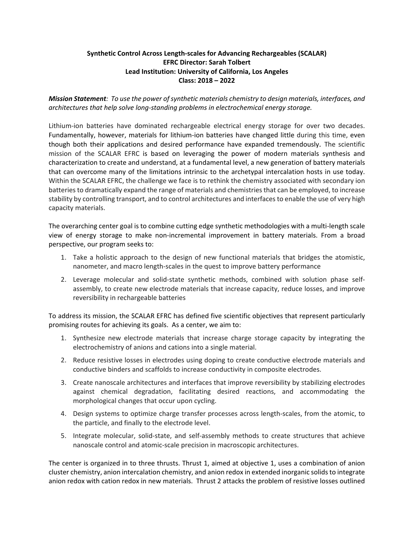## **Synthetic Control Across Length-scales for Advancing Rechargeables (SCALAR) EFRC Director: Sarah Tolbert Lead Institution: University of California, Los Angeles Class: 2018 – 2022**

*Mission Statement: To use the power of synthetic materials chemistry to design materials, interfaces, and architectures that help solve long-standing problems in electrochemical energy storage.*

Lithium-ion batteries have dominated rechargeable electrical energy storage for over two decades. Fundamentally, however, materials for lithium-ion batteries have changed little during this time, even though both their applications and desired performance have expanded tremendously. The scientific mission of the SCALAR EFRC is based on leveraging the power of modern materials synthesis and characterization to create and understand, at a fundamental level, a new generation of battery materials that can overcome many of the limitations intrinsic to the archetypal intercalation hosts in use today. Within the SCALAR EFRC, the challenge we face is to rethink the chemistry associated with secondary ion batteries to dramatically expand the range of materials and chemistries that can be employed, to increase stability by controlling transport, and to control architectures and interfaces to enable the use of very high capacity materials.

The overarching center goal is to combine cutting edge synthetic methodologies with a multi-length scale view of energy storage to make non-incremental improvement in battery materials. From a broad perspective, our program seeks to:

- 1. Take a holistic approach to the design of new functional materials that bridges the atomistic, nanometer, and macro length-scales in the quest to improve battery performance
- 2. Leverage molecular and solid-state synthetic methods, combined with solution phase selfassembly, to create new electrode materials that increase capacity, reduce losses, and improve reversibility in rechargeable batteries

To address its mission, the SCALAR EFRC has defined five scientific objectives that represent particularly promising routes for achieving its goals. As a center, we aim to:

- 1. Synthesize new electrode materials that increase charge storage capacity by integrating the electrochemistry of anions and cations into a single material.
- 2. Reduce resistive losses in electrodes using doping to create conductive electrode materials and conductive binders and scaffolds to increase conductivity in composite electrodes.
- 3. Create nanoscale architectures and interfaces that improve reversibility by stabilizing electrodes against chemical degradation, facilitating desired reactions, and accommodating the morphological changes that occur upon cycling.
- 4. Design systems to optimize charge transfer processes across length-scales, from the atomic, to the particle, and finally to the electrode level.
- 5. Integrate molecular, solid-state, and self-assembly methods to create structures that achieve nanoscale control and atomic-scale precision in macroscopic architectures.

The center is organized in to three thrusts. Thrust 1, aimed at objective 1, uses a combination of anion cluster chemistry, anion intercalation chemistry, and anion redox in extended inorganic solids to integrate anion redox with cation redox in new materials. Thrust 2 attacks the problem of resistive losses outlined